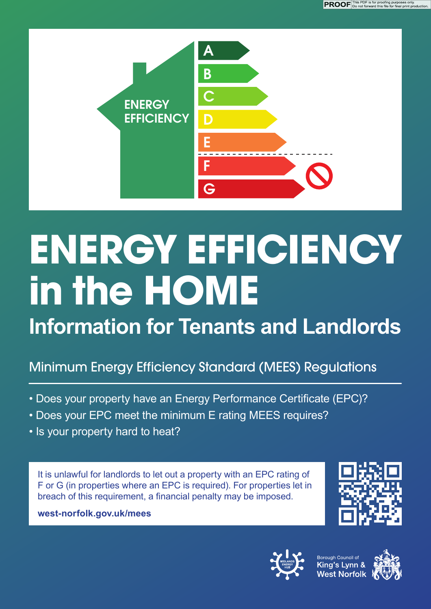

# **ENERGY EFFICIENCY in the HOME**

**Information for Tenants and Landlords**

## Minimum Energy Efficiency Standard (MEES) Regulations

- Does your property have an Energy Performance Certificate (EPC)?
- Does your EPC meet the minimum E rating MEES requires?
- Is your property hard to heat?

It is unlawful for landlords to let out a property with an EPC rating of F or G (in properties where an EPC is required). For properties let in breach of this requirement, a financial penalty may be imposed.

**west-norfolk.gov.uk/mees**





Borough Council of<br><mark>King's Lynn &</mark> West Norfolk